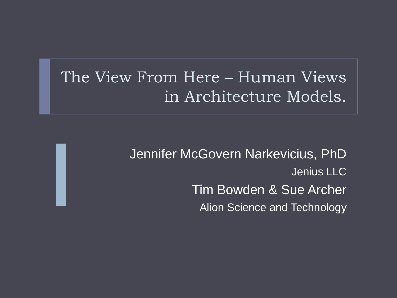### The View From Here – Human Views in Architecture Models.

Jennifer McGovern Narkevicius, PhD Jenius LLC Tim Bowden & Sue Archer Alion Science and Technology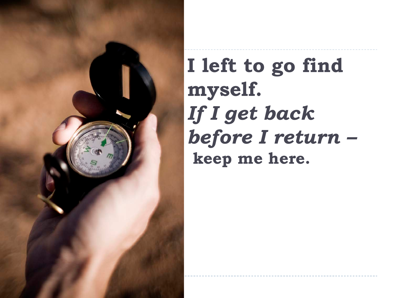

# **I left to go find myself.**  *If I get back before I return –* **keep me here.**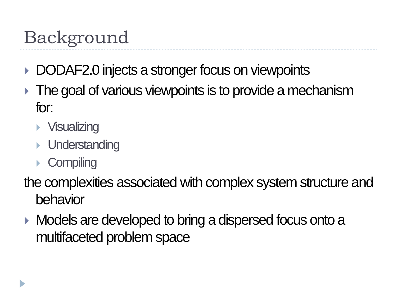# Background

- DODAF2.0 injects a stronger focus on viewpoints
- The goal of various viewpoints is to provide a mechanism for:
	- **Visualizing**
	- **I** Understanding
	- ▶ Compiling

the complexities associated with complex system structure and behavior

**Models are developed to bring a dispersed focus onto a** multifaceted problem space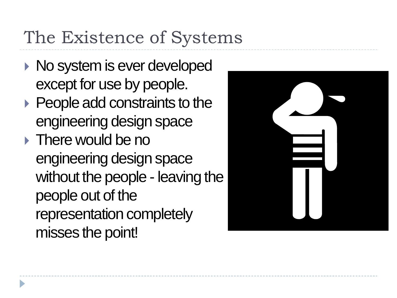## The Existence of Systems

- ▶ No system is ever developed except for use by people.
- ▶ People add constraints to the engineering design space
- **There would be no** engineering design space without the people - leaving the people out of the representation completely misses the point!

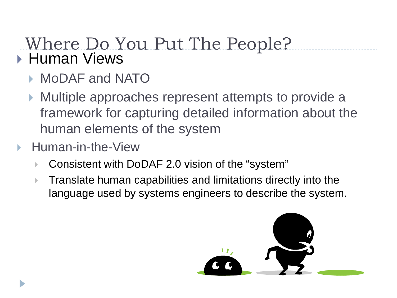#### Where Do You Put The People? **Human Views**

- ▶ MoDAF and NATO
- Multiple approaches represent attempts to provide a framework for capturing detailed information about the human elements of the system
- Human-in-the-View
	- Consistent with DoDAF 2.0 vision of the "system"
	- **Translate human capabilities and limitations directly into the** language used by systems engineers to describe the system.

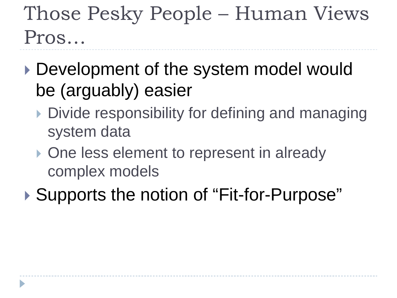# Those Pesky People – Human Views Pros…

- ▶ Development of the system model would be (arguably) easier
	- Divide responsibility for defining and managing system data
	- ▶ One less element to represent in already complex models

▶ Supports the notion of "Fit-for-Purpose"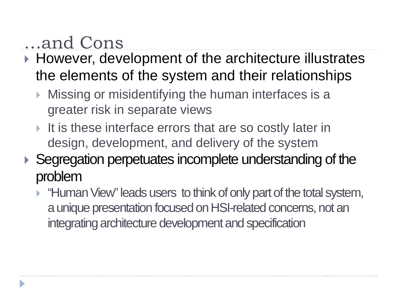### …and Cons

- ▶ However, development of the architecture illustrates the elements of the system and their relationships
	- **Missing or misidentifying the human interfaces is a** greater risk in separate views
	- It is these interface errors that are so costly later in design, development, and delivery of the system
- ▶ Segregation perpetuates incomplete understanding of the problem
	- **Human View**" leads users to think of only part of the total system, a unique presentation focused on HSI-related concerns, not an integrating architecture development and specification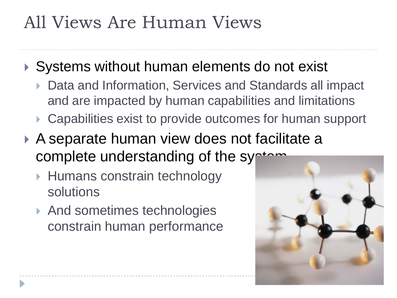### All Views Are Human Views

- ▶ Systems without human elements do not exist
	- ▶ Data and Information, Services and Standards all impact and are impacted by human capabilities and limitations
	- ▶ Capabilities exist to provide outcomes for human support
- ▶ A separate human view does not facilitate a complete understanding of the system
	- ▶ Humans constrain technology solutions
	- ▶ And sometimes technologies constrain human performance

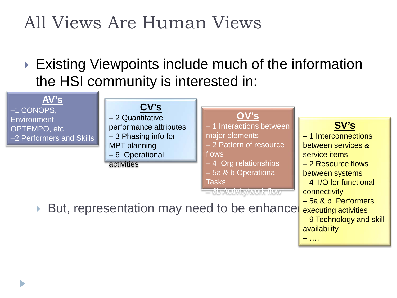### All Views Are Human Views

#### ▶ Existing Viewpoints include much of the information the HSI community is interested in:



availability

– ….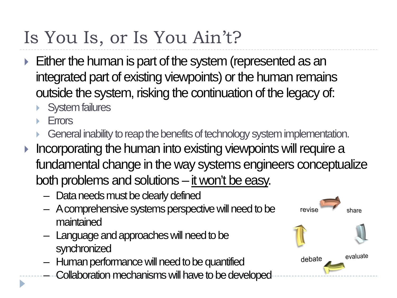# Is You Is, or Is You Ain't?

- Either the human is part of the system (represented as an integrated part of existing viewpoints) or the human remains outside the system, risking the continuation of the legacy of:
	- System failures
	- Errors
	- General inability to reap the benefits of technology system implementation.
- Incorporating the human into existing viewpoints will require a fundamental change in the way systems engineers conceptualize both problems and solutions – it won't be easy.

revise

debate

evaluate

- Data needs must be clearly defined
- A comprehensive systems perspective will need to be maintained
- Language and approacheswill need to be synchronized
- $-$  Human performance will need to be quantified
- Collaboration mechanisms will have to be developed